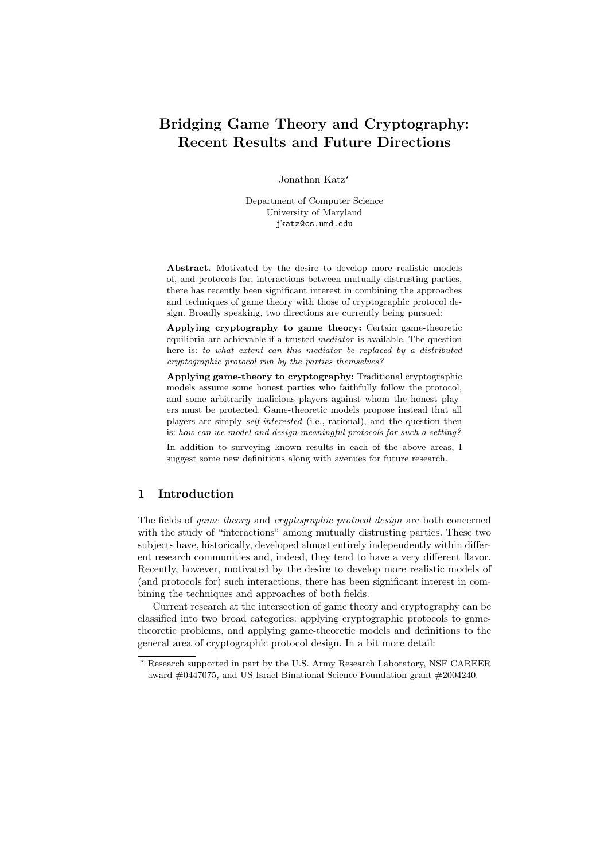# Bridging Game Theory and Cryptography: Recent Results and Future Directions

Jonathan Katz\*

Department of Computer Science University of Maryland jkatz@cs.umd.edu

Abstract. Motivated by the desire to develop more realistic models of, and protocols for, interactions between mutually distrusting parties, there has recently been significant interest in combining the approaches and techniques of game theory with those of cryptographic protocol design. Broadly speaking, two directions are currently being pursued:

Applying cryptography to game theory: Certain game-theoretic equilibria are achievable if a trusted mediator is available. The question here is: to what extent can this mediator be replaced by a distributed cryptographic protocol run by the parties themselves?

Applying game-theory to cryptography: Traditional cryptographic models assume some honest parties who faithfully follow the protocol, and some arbitrarily malicious players against whom the honest players must be protected. Game-theoretic models propose instead that all players are simply self-interested (i.e., rational), and the question then is: how can we model and design meaningful protocols for such a setting?

In addition to surveying known results in each of the above areas, I suggest some new definitions along with avenues for future research.

## 1 Introduction

The fields of game theory and cryptographic protocol design are both concerned with the study of "interactions" among mutually distrusting parties. These two subjects have, historically, developed almost entirely independently within different research communities and, indeed, they tend to have a very different flavor. Recently, however, motivated by the desire to develop more realistic models of (and protocols for) such interactions, there has been significant interest in combining the techniques and approaches of both fields.

Current research at the intersection of game theory and cryptography can be classified into two broad categories: applying cryptographic protocols to gametheoretic problems, and applying game-theoretic models and definitions to the general area of cryptographic protocol design. In a bit more detail:

<sup>?</sup> Research supported in part by the U.S. Army Research Laboratory, NSF CAREER award #0447075, and US-Israel Binational Science Foundation grant #2004240.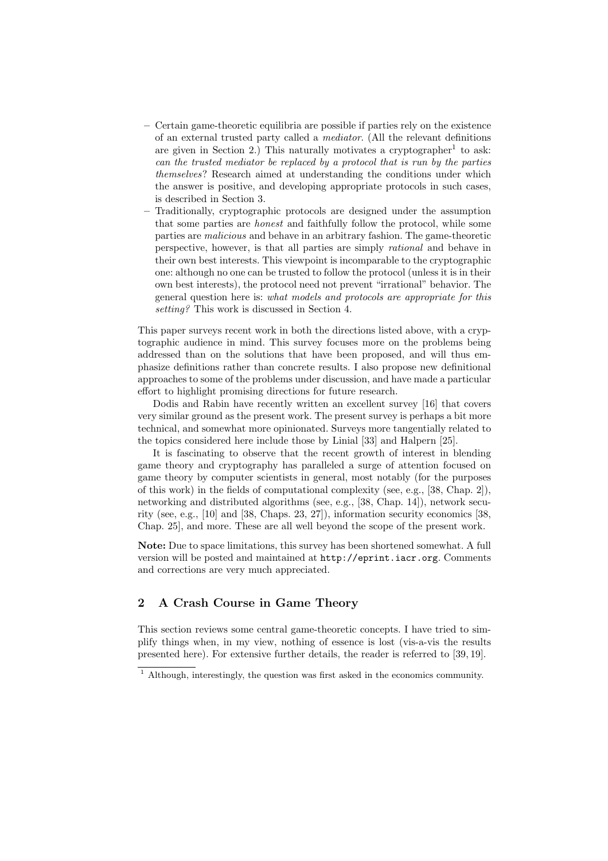- Certain game-theoretic equilibria are possible if parties rely on the existence of an external trusted party called a mediator. (All the relevant definitions are given in Section 2.) This naturally motivates a cryptographer<sup>1</sup> to ask: can the trusted mediator be replaced by a protocol that is run by the parties themselves? Research aimed at understanding the conditions under which the answer is positive, and developing appropriate protocols in such cases, is described in Section 3.
- Traditionally, cryptographic protocols are designed under the assumption that some parties are honest and faithfully follow the protocol, while some parties are malicious and behave in an arbitrary fashion. The game-theoretic perspective, however, is that all parties are simply rational and behave in their own best interests. This viewpoint is incomparable to the cryptographic one: although no one can be trusted to follow the protocol (unless it is in their own best interests), the protocol need not prevent "irrational" behavior. The general question here is: what models and protocols are appropriate for this setting? This work is discussed in Section 4.

This paper surveys recent work in both the directions listed above, with a cryptographic audience in mind. This survey focuses more on the problems being addressed than on the solutions that have been proposed, and will thus emphasize definitions rather than concrete results. I also propose new definitional approaches to some of the problems under discussion, and have made a particular effort to highlight promising directions for future research.

Dodis and Rabin have recently written an excellent survey [16] that covers very similar ground as the present work. The present survey is perhaps a bit more technical, and somewhat more opinionated. Surveys more tangentially related to the topics considered here include those by Linial [33] and Halpern [25].

It is fascinating to observe that the recent growth of interest in blending game theory and cryptography has paralleled a surge of attention focused on game theory by computer scientists in general, most notably (for the purposes of this work) in the fields of computational complexity (see, e.g., [38, Chap. 2]), networking and distributed algorithms (see, e.g., [38, Chap. 14]), network security (see, e.g., [10] and [38, Chaps. 23, 27]), information security economics [38, Chap. 25], and more. These are all well beyond the scope of the present work.

Note: Due to space limitations, this survey has been shortened somewhat. A full version will be posted and maintained at http://eprint.iacr.org. Comments and corrections are very much appreciated.

## 2 A Crash Course in Game Theory

This section reviews some central game-theoretic concepts. I have tried to simplify things when, in my view, nothing of essence is lost (vis-a-vis the results presented here). For extensive further details, the reader is referred to [39, 19].

<sup>&</sup>lt;sup>1</sup> Although, interestingly, the question was first asked in the economics community.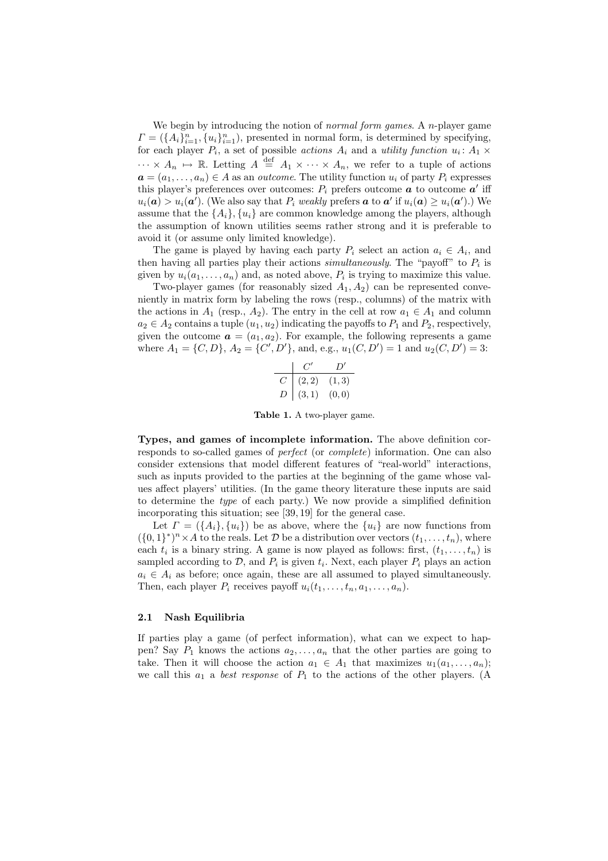We begin by introducing the notion of *normal form games*. A *n*-player game  $\Gamma = (\{A_i\}_{i=1}^n, \{u_i\}_{i=1}^n)$ , presented in normal form, is determined by specifying, for each player  $P_i$ , a set of possible *actions*  $A_i$  and a *utility function*  $u_i: A_1 \times$  $\cdots \times A_n \mapsto \mathbb{R}$ . Letting  $A \stackrel{\text{def}}{=} A_1 \times \cdots \times A_n$ , we refer to a tuple of actions  $a = (a_1, \ldots, a_n) \in A$  as an *outcome*. The utility function  $u_i$  of party  $P_i$  expresses this player's preferences over outcomes:  $P_i$  prefers outcome  $a$  to outcome  $a'$  iff  $u_i(\boldsymbol{a}) > u_i(\boldsymbol{a}')$ . (We also say that  $P_i$  weakly prefers  $\boldsymbol{a}$  to  $\boldsymbol{a}'$  if  $u_i(\boldsymbol{a}) \geq u_i(\boldsymbol{a}')$ .) We assume that the  $\{A_i\}$ ,  $\{u_i\}$  are common knowledge among the players, although the assumption of known utilities seems rather strong and it is preferable to avoid it (or assume only limited knowledge).

The game is played by having each party  $P_i$  select an action  $a_i \in A_i$ , and then having all parties play their actions  $simultaneously$ . The "payoff" to  $P_i$  is given by  $u_i(a_1, \ldots, a_n)$  and, as noted above,  $P_i$  is trying to maximize this value.

Two-player games (for reasonably sized  $A_1, A_2$ ) can be represented conveniently in matrix form by labeling the rows (resp., columns) of the matrix with the actions in  $A_1$  (resp.,  $A_2$ ). The entry in the cell at row  $a_1 \in A_1$  and column  $a_2 \in A_2$  contains a tuple  $(u_1, u_2)$  indicating the payoffs to  $P_1$  and  $P_2$ , respectively, given the outcome  $\mathbf{a} = (a_1, a_2)$ . For example, the following represents a game where  $A_1 = \{C, D\}, A_2 = \{C', D'\}, \text{and, e.g., } u_1(C, D') = 1 \text{ and } u_2(C, D') = 3:$ 

$$
\begin{array}{c|cc}\n & C' & D' \\
\hline\nC & (2,2) & (1,3) \\
D & (3,1) & (0,0)\n\end{array}
$$

Table 1. A two-player game.

Types, and games of incomplete information. The above definition corresponds to so-called games of perfect (or complete) information. One can also consider extensions that model different features of "real-world" interactions, such as inputs provided to the parties at the beginning of the game whose values affect players' utilities. (In the game theory literature these inputs are said to determine the type of each party.) We now provide a simplified definition incorporating this situation; see [39, 19] for the general case.

Let  $\Gamma = (\{A_i\}, \{u_i\})$  be as above, where the  $\{u_i\}$  are now functions from  $({0,1})^*$ <sup>n</sup> × A to the reals. Let D be a distribution over vectors  $(t_1,\ldots,t_n)$ , where each  $t_i$  is a binary string. A game is now played as follows: first,  $(t_1, \ldots, t_n)$  is sampled according to  $D$ , and  $P_i$  is given  $t_i$ . Next, each player  $P_i$  plays an action  $a_i \in A_i$  as before; once again, these are all assumed to played simultaneously. Then, each player  $P_i$  receives payoff  $u_i(t_1, \ldots, t_n, a_1, \ldots, a_n)$ .

#### 2.1 Nash Equilibria

If parties play a game (of perfect information), what can we expect to happen? Say  $P_1$  knows the actions  $a_2, \ldots, a_n$  that the other parties are going to take. Then it will choose the action  $a_1 \in A_1$  that maximizes  $u_1(a_1, \ldots, a_n)$ ; we call this  $a_1$  a best response of  $P_1$  to the actions of the other players. (A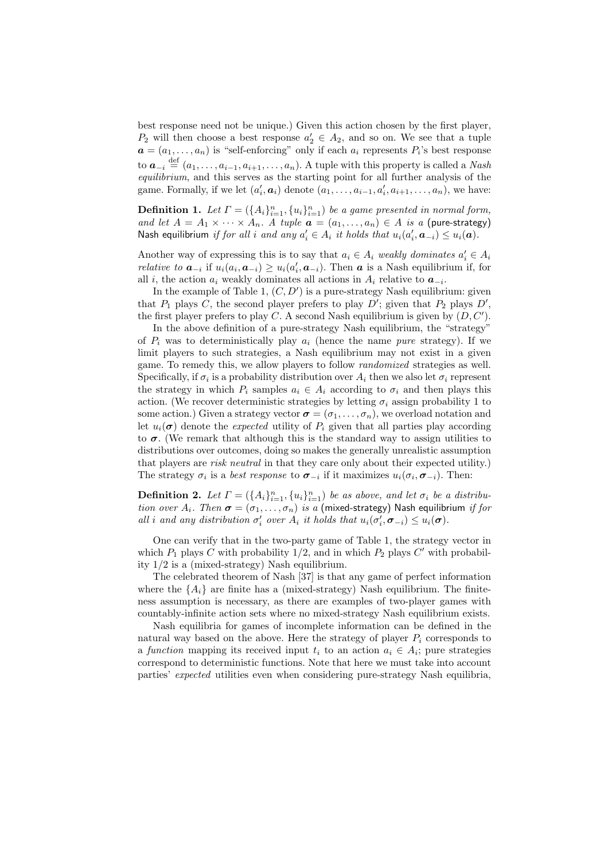best response need not be unique.) Given this action chosen by the first player,  $P_2$  will then choose a best response  $a'_2 \in A_2$ , and so on. We see that a tuple  $a = (a_1, \ldots, a_n)$  is "self-enforcing" only if each  $a_i$  represents  $P_i$ 's best response to  $a_{-i} \stackrel{\text{def}}{=} (a_1, \ldots, a_{i-1}, a_{i+1}, \ldots, a_n)$ . A tuple with this property is called a *Nash* equilibrium, and this serves as the starting point for all further analysis of the game. Formally, if we let  $(a'_i, a_i)$  denote  $(a_1, \ldots, a_{i-1}, a'_i, a_{i+1}, \ldots, a_n)$ , we have:

**Definition 1.** Let  $\Gamma = (\{A_i\}_{i=1}^n, \{u_i\}_{i=1}^n)$  be a game presented in normal form, and let  $A = A_1 \times \cdots \times A_n$ . A tuple  $\boldsymbol{a} = (a_1, \ldots, a_n) \in A$  is a (pure-strategy) Nash equilibrium *if for all i and any*  $a'_i \in A_i$  *it holds that*  $u_i(a'_i, a_{-i}) \leq u_i(a)$ .

Another way of expressing this is to say that  $a_i \in A_i$  weakly dominates  $a'_i \in A_i$ *relative to*  $a_{-i}$  if  $u_i(a_i, a_{-i}) \geq u_i(a'_i, a_{-i})$ . Then a is a Nash equilibrium if, for all i, the action  $a_i$  weakly dominates all actions in  $A_i$  relative to  $a_{-i}$ .

In the example of Table 1,  $(C, D')$  is a pure-strategy Nash equilibrium: given that  $P_1$  plays C, the second player prefers to play D'; given that  $P_2$  plays D', the first player prefers to play  $C$ . A second Nash equilibrium is given by  $(D, C')$ .

In the above definition of a pure-strategy Nash equilibrium, the "strategy" of  $P_i$  was to deterministically play  $a_i$  (hence the name *pure* strategy). If we limit players to such strategies, a Nash equilibrium may not exist in a given game. To remedy this, we allow players to follow randomized strategies as well. Specifically, if  $\sigma_i$  is a probability distribution over  $A_i$  then we also let  $\sigma_i$  represent the strategy in which  $P_i$  samples  $a_i \in A_i$  according to  $\sigma_i$  and then plays this action. (We recover deterministic strategies by letting  $\sigma_i$  assign probability 1 to some action.) Given a strategy vector  $\boldsymbol{\sigma} = (\sigma_1, \ldots, \sigma_n)$ , we overload notation and let  $u_i(\sigma)$  denote the *expected* utility of  $P_i$  given that all parties play according to  $\sigma$ . (We remark that although this is the standard way to assign utilities to distributions over outcomes, doing so makes the generally unrealistic assumption that players are *risk neutral* in that they care only about their expected utility.) The strategy  $\sigma_i$  is a *best response* to  $\sigma_{-i}$  if it maximizes  $u_i(\sigma_i, \sigma_{-i})$ . Then:

**Definition 2.** Let  $\Gamma = (\{A_i\}_{i=1}^n, \{u_i\}_{i=1}^n)$  be as above, and let  $\sigma_i$  be a distribution over  $A_i$ . Then  $\sigma = (\sigma_1, \ldots, \sigma_n)$  is a (mixed-strategy) Nash equilibrium if for all i and any distribution  $\sigma'_i$  over  $A_i$  it holds that  $u_i(\sigma'_i, \sigma_{-i}) \leq u_i(\sigma)$ .

One can verify that in the two-party game of Table 1, the strategy vector in which  $P_1$  plays C with probability 1/2, and in which  $P_2$  plays C' with probability 1/2 is a (mixed-strategy) Nash equilibrium.

The celebrated theorem of Nash [37] is that any game of perfect information where the  $\{A_i\}$  are finite has a (mixed-strategy) Nash equilibrium. The finiteness assumption is necessary, as there are examples of two-player games with countably-infinite action sets where no mixed-strategy Nash equilibrium exists.

Nash equilibria for games of incomplete information can be defined in the natural way based on the above. Here the strategy of player  $P_i$  corresponds to a function mapping its received input  $t_i$  to an action  $a_i \in A_i$ ; pure strategies correspond to deterministic functions. Note that here we must take into account parties' expected utilities even when considering pure-strategy Nash equilibria,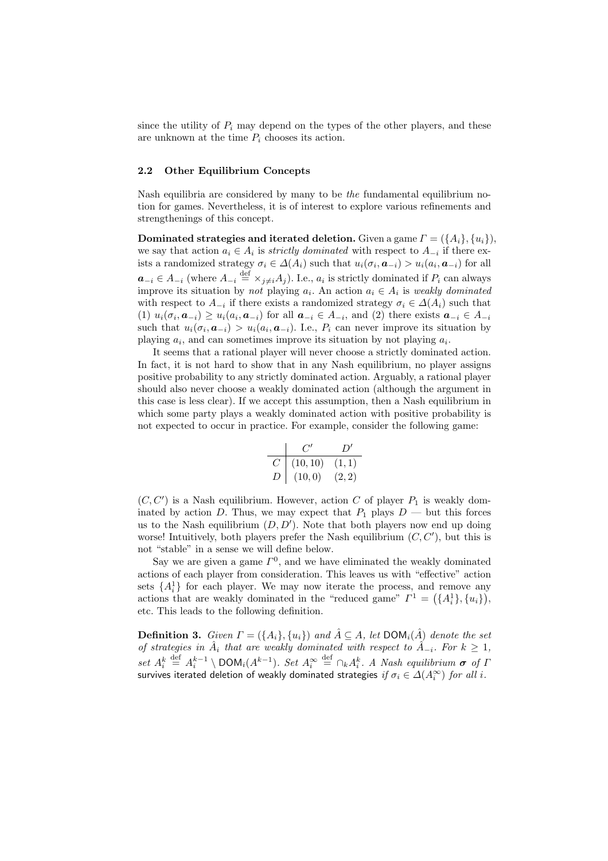since the utility of  $P_i$  may depend on the types of the other players, and these are unknown at the time  $P_i$  chooses its action.

#### 2.2 Other Equilibrium Concepts

Nash equilibria are considered by many to be the fundamental equilibrium notion for games. Nevertheless, it is of interest to explore various refinements and strengthenings of this concept.

**Dominated strategies and iterated deletion.** Given a game  $\Gamma = (\{A_i\}, \{u_i\}),$ we say that action  $a_i \in A_i$  is *strictly dominated* with respect to  $A_{-i}$  if there exists a randomized strategy  $\sigma_i \in \Delta(A_i)$  such that  $u_i(\sigma_i, \boldsymbol{a}_{-i}) > u_i(a_i, \boldsymbol{a}_{-i})$  for all  $a_{-i} \in A_{-i}$  (where  $A_{-i} \stackrel{\text{def}}{=} \times_{j \neq i} A_j$ ). I.e.,  $a_i$  is strictly dominated if  $P_i$  can always improve its situation by *not* playing  $a_i$ . An action  $a_i \in A_i$  is weakly dominated with respect to  $A_{-i}$  if there exists a randomized strategy  $\sigma_i \in \Delta(A_i)$  such that (1)  $u_i(\sigma_i, \mathbf{a}_{-i}) \geq u_i(a_i, \mathbf{a}_{-i})$  for all  $\mathbf{a}_{-i} \in A_{-i}$ , and (2) there exists  $\mathbf{a}_{-i} \in A_{-i}$ such that  $u_i(\sigma_i, \boldsymbol{a}_{-i}) > u_i(a_i, \boldsymbol{a}_{-i})$ . I.e.,  $P_i$  can never improve its situation by playing  $a_i$ , and can sometimes improve its situation by not playing  $a_i$ .

It seems that a rational player will never choose a strictly dominated action. In fact, it is not hard to show that in any Nash equilibrium, no player assigns positive probability to any strictly dominated action. Arguably, a rational player should also never choose a weakly dominated action (although the argument in this case is less clear). If we accept this assumption, then a Nash equilibrium in which some party plays a weakly dominated action with positive probability is not expected to occur in practice. For example, consider the following game:

$$
\begin{array}{c|cc}\n & C' & D' \\
\hline\nC & (10,10) & (1,1) \\
D & (10,0) & (2,2)\n\end{array}
$$

 $(C, C')$  is a Nash equilibrium. However, action C of player  $P_1$  is weakly dominated by action D. Thus, we may expect that  $P_1$  plays  $D$  — but this forces us to the Nash equilibrium  $(D, D')$ . Note that both players now end up doing worse! Intuitively, both players prefer the Nash equilibrium  $(C, C')$ , but this is not "stable" in a sense we will define below.

Say we are given a game  $\Gamma^{0}$ , and we have eliminated the weakly dominated actions of each player from consideration. This leaves us with "effective" action sets  $\{A_i^1\}$  for each player. We may now iterate the process, and remove any actions that are weakly dominated in the "reduced game"  $\Gamma^1 = (\{A_i^1\}, \{u_i\}),$ etc. This leads to the following definition.

**Definition 3.** Given  $\Gamma = (\{A_i\}, \{u_i\})$  and  $\hat{A} \subseteq A$ , let  $\text{DOM}_i(\hat{A})$  denote the set of strategies in  $\hat{A}_i$  that are weakly dominated with respect to  $\hat{A}_{-i}$ . For  $k \geq 1$ , set  $A_i^k \stackrel{\text{def}}{=} A_i^{k-1} \setminus \text{DOM}_i(A^{k-1})$ . Set  $A_i^{\infty} \stackrel{\text{def}}{=} \bigcap_k A_i^k$ . A Nash equilibrium  $\sigma$  of  $\Gamma$ survives iterated deletion of weakly dominated strategies  $\emph{if}$   $\sigma_i \in \varDelta(A_i^\infty)$   $\emph{for all}$   $i.$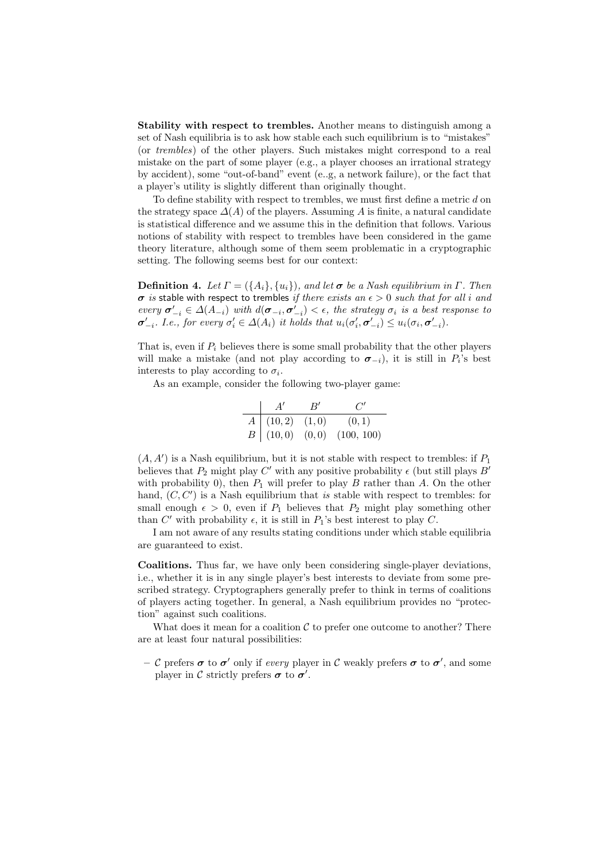Stability with respect to trembles. Another means to distinguish among a set of Nash equilibria is to ask how stable each such equilibrium is to "mistakes" (or trembles) of the other players. Such mistakes might correspond to a real mistake on the part of some player (e.g., a player chooses an irrational strategy by accident), some "out-of-band" event (e..g, a network failure), or the fact that a player's utility is slightly different than originally thought.

To define stability with respect to trembles, we must first define a metric  $d$  on the strategy space  $\Delta(A)$  of the players. Assuming A is finite, a natural candidate is statistical difference and we assume this in the definition that follows. Various notions of stability with respect to trembles have been considered in the game theory literature, although some of them seem problematic in a cryptographic setting. The following seems best for our context:

**Definition 4.** Let  $\Gamma = (\{A_i\}, \{u_i\})$ , and let  $\sigma$  be a Nash equilibrium in  $\Gamma$ . Then  $\sigma$  is stable with respect to trembles if there exists an  $\epsilon > 0$  such that for all i and every  $\sigma'_{-i} \in \Delta(A_{-i})$  with  $d(\sigma_{-i}, \sigma'_{-i}) < \epsilon$ , the strategy  $\sigma_i$  is a best response to  $\sigma'_{-i}$ . I.e., for every  $\sigma'_{i} \in \Delta(A_i)$  it holds that  $u_i(\sigma'_i, \sigma'_{-i}) \leq u_i(\sigma_i, \sigma'_{-i})$ .

That is, even if  $P_i$  believes there is some small probability that the other players will make a mistake (and not play according to  $\sigma_{-i}$ ), it is still in  $P_i$ 's best interests to play according to  $\sigma_i$ .

As an example, consider the following two-player game:

$$
\begin{array}{c|cc}\n & A' & B' & C' \\
\hline\nA & (10,2) & (1,0) & (0,1) \\
B & (10,0) & (0,0) & (100, 100)\n\end{array}
$$

 $(A, A')$  is a Nash equilibrium, but it is not stable with respect to trembles: if  $P_1$ believes that  $P_2$  might play C' with any positive probability  $\epsilon$  (but still plays B' with probability 0), then  $P_1$  will prefer to play B rather than A. On the other hand,  $(C, C')$  is a Nash equilibrium that is stable with respect to trembles: for small enough  $\epsilon > 0$ , even if  $P_1$  believes that  $P_2$  might play something other than  $C'$  with probability  $\epsilon$ , it is still in  $P_1$ 's best interest to play  $C$ .

I am not aware of any results stating conditions under which stable equilibria are guaranteed to exist.

Coalitions. Thus far, we have only been considering single-player deviations, i.e., whether it is in any single player's best interests to deviate from some prescribed strategy. Cryptographers generally prefer to think in terms of coalitions of players acting together. In general, a Nash equilibrium provides no "protection" against such coalitions.

What does it mean for a coalition  $\mathcal C$  to prefer one outcome to another? There are at least four natural possibilities:

- C prefers  $\sigma$  to  $\sigma'$  only if every player in C weakly prefers  $\sigma$  to  $\sigma'$ , and some player in C strictly prefers  $\sigma$  to  $\sigma'$ .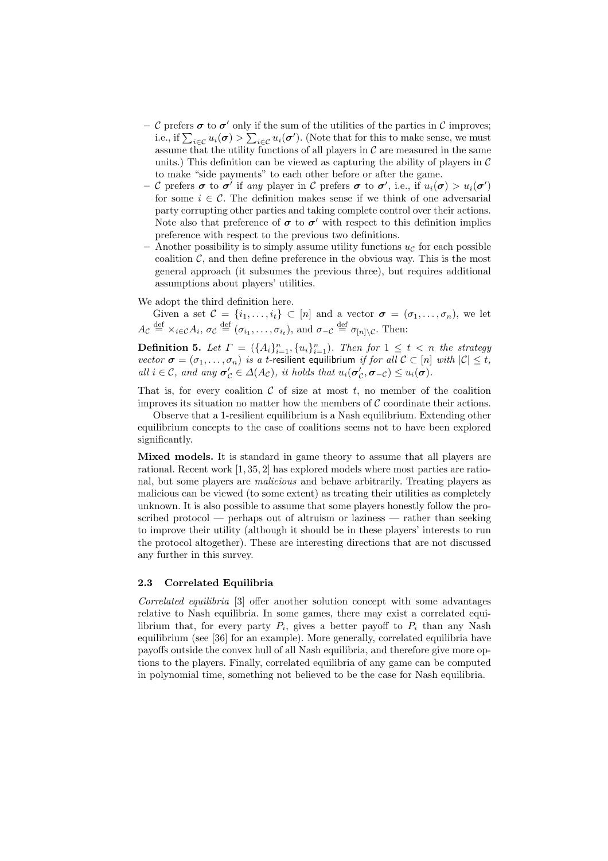- C prefers  $\sigma$  to  $\sigma'$  only if the sum of the utilities of the parties in C improves;  $i.e.,$  if  $\sum_{i\in\mathcal{C}} u_i(\sigma) > \sum_{i\in\mathcal{C}} u_i(\sigma')$ . (Note that for this to make sense, we must assume that the utility functions of all players in  $\mathcal C$  are measured in the same units.) This definition can be viewed as capturing the ability of players in  $\mathcal C$ to make "side payments" to each other before or after the game.
- C prefers  $\sigma$  to  $\sigma'$  if any player in C prefers  $\sigma$  to  $\sigma'$ , i.e., if  $u_i(\sigma) > u_i(\sigma')$ for some  $i \in \mathcal{C}$ . The definition makes sense if we think of one adversarial party corrupting other parties and taking complete control over their actions. Note also that preference of  $\sigma$  to  $\sigma'$  with respect to this definition implies preference with respect to the previous two definitions.
- Another possibility is to simply assume utility functions  $u<sub>C</sub>$  for each possible coalition  $C$ , and then define preference in the obvious way. This is the most general approach (it subsumes the previous three), but requires additional assumptions about players' utilities.

We adopt the third definition here.

Given a set  $\mathcal{C} = \{i_1, \ldots, i_t\} \subset [n]$  and a vector  $\boldsymbol{\sigma} = (\sigma_1, \ldots, \sigma_n)$ , we let  $A_{\mathcal{C}} \stackrel{\text{def}}{=} \times_{i \in \mathcal{C}} A_i$ ,  $\sigma_{\mathcal{C}} \stackrel{\text{def}}{=} (\sigma_{i_1}, \ldots, \sigma_{i_t}),$  and  $\sigma_{-\mathcal{C}} \stackrel{\text{def}}{=} \sigma_{[n] \setminus \mathcal{C}}$ . Then:

**Definition 5.** Let  $\Gamma = (\{A_i\}_{i=1}^n, \{u_i\}_{i=1}^n)$ . Then for  $1 \leq t < n$  the strategy vector  $\sigma = (\sigma_1, \ldots, \sigma_n)$  is a t-resilient equilibrium if for all  $C \subset [n]$  with  $|C| \leq t$ , all  $i \in \mathcal{C}$ , and any  $\sigma'_{\mathcal{C}} \in \Delta(A_{\mathcal{C}})$ , it holds that  $u_i(\sigma'_{\mathcal{C}}, \sigma_{-\mathcal{C}}) \leq u_i(\sigma)$ .

That is, for every coalition  $\mathcal C$  of size at most  $t$ , no member of the coalition improves its situation no matter how the members of  $C$  coordinate their actions.

Observe that a 1-resilient equilibrium is a Nash equilibrium. Extending other equilibrium concepts to the case of coalitions seems not to have been explored significantly.

Mixed models. It is standard in game theory to assume that all players are rational. Recent work [1, 35, 2] has explored models where most parties are rational, but some players are malicious and behave arbitrarily. Treating players as malicious can be viewed (to some extent) as treating their utilities as completely unknown. It is also possible to assume that some players honestly follow the proscribed protocol — perhaps out of altruism or laziness — rather than seeking to improve their utility (although it should be in these players' interests to run the protocol altogether). These are interesting directions that are not discussed any further in this survey.

### 2.3 Correlated Equilibria

Correlated equilibria [3] offer another solution concept with some advantages relative to Nash equilibria. In some games, there may exist a correlated equilibrium that, for every party  $P_i$ , gives a better payoff to  $P_i$  than any Nash equilibrium (see [36] for an example). More generally, correlated equilibria have payoffs outside the convex hull of all Nash equilibria, and therefore give more options to the players. Finally, correlated equilibria of any game can be computed in polynomial time, something not believed to be the case for Nash equilibria.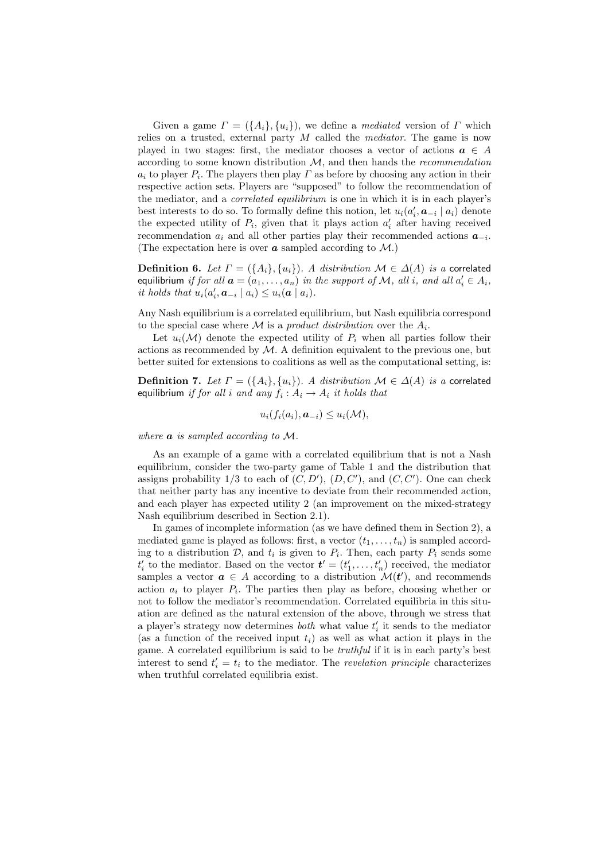Given a game  $\Gamma = (\{A_i\}, \{u_i\})$ , we define a *mediated* version of  $\Gamma$  which relies on a trusted, external party  $M$  called the *mediator*. The game is now played in two stages: first, the mediator chooses a vector of actions  $a \in A$ according to some known distribution  $M$ , and then hands the *recommendation*  $a_i$  to player  $P_i$ . The players then play  $\Gamma$  as before by choosing any action in their respective action sets. Players are "supposed" to follow the recommendation of the mediator, and a correlated equilibrium is one in which it is in each player's best interests to do so. To formally define this notion, let  $u_i(a'_i, a_{-i} | a_i)$  denote the expected utility of  $P_i$ , given that it plays action  $a'_i$  after having received recommendation  $a_i$  and all other parties play their recommended actions  $a_{-i}$ . (The expectation here is over  $\boldsymbol{a}$  sampled according to  $\mathcal{M}$ .)

**Definition 6.** Let  $\Gamma = (\{A_i\}, \{u_i\})$ . A distribution  $\mathcal{M} \in \Delta(A)$  is a correlated equilibrium *if for all*  $\boldsymbol{a} = (a_1, \ldots, a_n)$  *in the support of*  $M$ *, all i, and all*  $a'_i \in A_i$ *,* it holds that  $u_i(a'_i, a_{-i} | a_i) \leq u_i(a | a_i)$ .

Any Nash equilibrium is a correlated equilibrium, but Nash equilibria correspond to the special case where  $\mathcal M$  is a product distribution over the  $A_i$ .

Let  $u_i(\mathcal{M})$  denote the expected utility of  $P_i$  when all parties follow their actions as recommended by  $M$ . A definition equivalent to the previous one, but better suited for extensions to coalitions as well as the computational setting, is:

**Definition 7.** Let  $\Gamma = (\{A_i\}, \{u_i\})$ . A distribution  $\mathcal{M} \in \Delta(A)$  is a correlated equilibrium *if for all i and any*  $f_i: A_i \rightarrow A_i$  *it holds that* 

 $u_i(f_i(a_i), \mathbf{a}_{-i}) \leq u_i(\mathcal{M}),$ 

where  $\boldsymbol{a}$  is sampled according to M.

As an example of a game with a correlated equilibrium that is not a Nash equilibrium, consider the two-party game of Table 1 and the distribution that assigns probability  $1/3$  to each of  $(C, D')$ ,  $(D, C')$ , and  $(C, C')$ . One can check that neither party has any incentive to deviate from their recommended action, and each player has expected utility 2 (an improvement on the mixed-strategy Nash equilibrium described in Section 2.1).

In games of incomplete information (as we have defined them in Section 2), a mediated game is played as follows: first, a vector  $(t_1, \ldots, t_n)$  is sampled according to a distribution  $\mathcal{D}$ , and  $t_i$  is given to  $P_i$ . Then, each party  $P_i$  sends some  $t'_{i}$  to the mediator. Based on the vector  $t' = (t'_{1}, \ldots, t'_{n})$  received, the mediator samples a vector  $\boldsymbol{a} \in A$  according to a distribution  $\mathcal{M}(\boldsymbol{t}')$ , and recommends action  $a_i$  to player  $P_i$ . The parties then play as before, choosing whether or not to follow the mediator's recommendation. Correlated equilibria in this situation are defined as the natural extension of the above, through we stress that a player's strategy now determines *both* what value  $t_i'$  it sends to the mediator (as a function of the received input  $t_i$ ) as well as what action it plays in the game. A correlated equilibrium is said to be truthful if it is in each party's best interest to send  $t'_{i} = t_{i}$  to the mediator. The *revelation principle* characterizes when truthful correlated equilibria exist.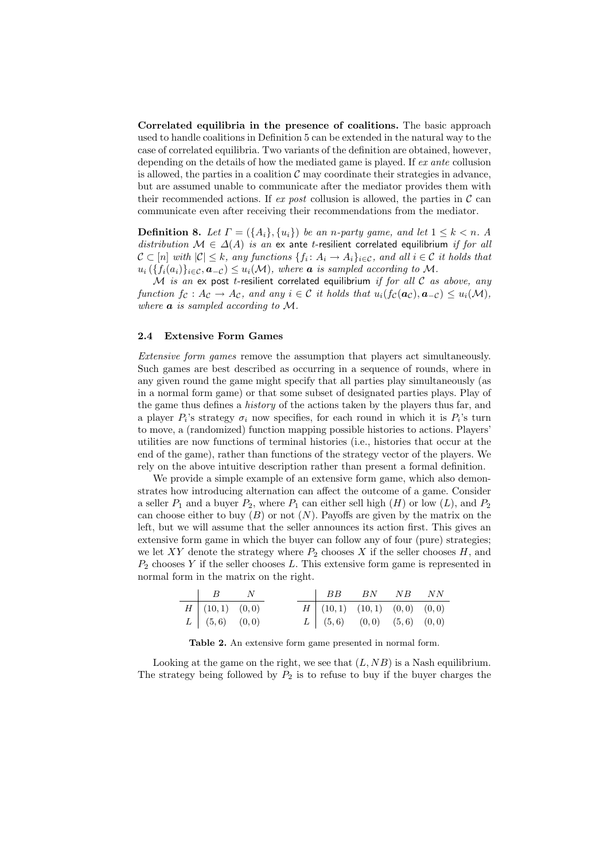Correlated equilibria in the presence of coalitions. The basic approach used to handle coalitions in Definition 5 can be extended in the natural way to the case of correlated equilibria. Two variants of the definition are obtained, however, depending on the details of how the mediated game is played. If ex ante collusion is allowed, the parties in a coalition  $\mathcal C$  may coordinate their strategies in advance, but are assumed unable to communicate after the mediator provides them with their recommended actions. If ex post collusion is allowed, the parties in  $\mathcal C$  can communicate even after receiving their recommendations from the mediator.

**Definition 8.** Let  $\Gamma = (\{A_i\}, \{u_i\})$  be an n-party game, and let  $1 \leq k \leq n$ . A distribution  $\mathcal{M} \in \Delta(A)$  is an ex ante t-resilient correlated equilibrium if for all  $\mathcal{C} \subset [n]$  with  $|\mathcal{C}| \leq k$ , any functions  $\{f_i: A_i \to A_i\}_{i \in \mathcal{C}}$ , and all  $i \in \mathcal{C}$  it holds that  $u_i\left(\{f_i(a_i)\}_{i\in\mathcal{C}}, a_{-\mathcal{C}}\right) \leq u_i(\mathcal{M})$ , where **a** is sampled according to M.

 $M$  is an ex post t-resilient correlated equilibrium if for all  $C$  as above, any function  $f_c: A_c \to A_c$ , and any  $i \in \mathcal{C}$  it holds that  $u_i(f_c(\boldsymbol{a}_c), \boldsymbol{a}_{-\mathcal{C}}) \leq u_i(\mathcal{M})$ , where  $\boldsymbol{a}$  is sampled according to  $\mathcal{M}$ .

### 2.4 Extensive Form Games

Extensive form games remove the assumption that players act simultaneously. Such games are best described as occurring in a sequence of rounds, where in any given round the game might specify that all parties play simultaneously (as in a normal form game) or that some subset of designated parties plays. Play of the game thus defines a history of the actions taken by the players thus far, and a player  $P_i$ 's strategy  $\sigma_i$  now specifies, for each round in which it is  $P_i$ 's turn to move, a (randomized) function mapping possible histories to actions. Players' utilities are now functions of terminal histories (i.e., histories that occur at the end of the game), rather than functions of the strategy vector of the players. We rely on the above intuitive description rather than present a formal definition.

We provide a simple example of an extensive form game, which also demonstrates how introducing alternation can affect the outcome of a game. Consider a seller  $P_1$  and a buyer  $P_2$ , where  $P_1$  can either sell high  $(H)$  or low  $(L)$ , and  $P_2$ can choose either to buy  $(B)$  or not  $(N)$ . Payoffs are given by the matrix on the left, but we will assume that the seller announces its action first. This gives an extensive form game in which the buyer can follow any of four (pure) strategies; we let XY denote the strategy where  $P_2$  chooses X if the seller chooses H, and  $P_2$  chooses Y if the seller chooses L. This extensive form game is represented in normal form in the matrix on the right.

| $\begin{array}{ccc} & B & N \end{array}$                                    |  | $\begin{array}{cccccc} & BB & BN & NB & NN \end{array}$                                                    |  |  |
|-----------------------------------------------------------------------------|--|------------------------------------------------------------------------------------------------------------|--|--|
| $\begin{array}{c cc}\nH & (10,1) & (0,0) \\ L & (5,6) & (0,0)\n\end{array}$ |  | $\begin{array}{c cc} H & (10,1) & (10,1) & (0,0) & (0,0) \\ L & (5,6) & (0,0) & (5,6) & (0,0) \end{array}$ |  |  |
|                                                                             |  |                                                                                                            |  |  |

Table 2. An extensive form game presented in normal form.

Looking at the game on the right, we see that  $(L, NB)$  is a Nash equilibrium. The strategy being followed by  $P_2$  is to refuse to buy if the buyer charges the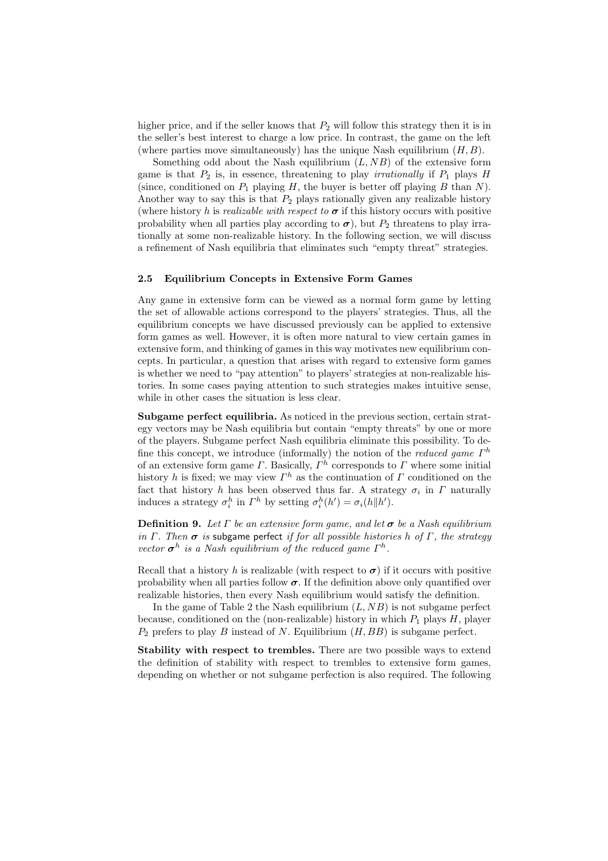higher price, and if the seller knows that  $P_2$  will follow this strategy then it is in the seller's best interest to charge a low price. In contrast, the game on the left (where parties move simultaneously) has the unique Nash equilibrium  $(H, B)$ .

Something odd about the Nash equilibrium  $(L, NB)$  of the extensive form game is that  $P_2$  is, in essence, threatening to play *irrationally* if  $P_1$  plays H (since, conditioned on  $P_1$  playing H, the buyer is better off playing B than N). Another way to say this is that  $P_2$  plays rationally given any realizable history (where history h is realizable with respect to  $\sigma$  if this history occurs with positive probability when all parties play according to  $\sigma$ ), but  $P_2$  threatens to play irrationally at some non-realizable history. In the following section, we will discuss a refinement of Nash equilibria that eliminates such "empty threat" strategies.

#### 2.5 Equilibrium Concepts in Extensive Form Games

Any game in extensive form can be viewed as a normal form game by letting the set of allowable actions correspond to the players' strategies. Thus, all the equilibrium concepts we have discussed previously can be applied to extensive form games as well. However, it is often more natural to view certain games in extensive form, and thinking of games in this way motivates new equilibrium concepts. In particular, a question that arises with regard to extensive form games is whether we need to "pay attention" to players' strategies at non-realizable histories. In some cases paying attention to such strategies makes intuitive sense, while in other cases the situation is less clear.

Subgame perfect equilibria. As noticed in the previous section, certain strategy vectors may be Nash equilibria but contain "empty threats" by one or more of the players. Subgame perfect Nash equilibria eliminate this possibility. To define this concept, we introduce (informally) the notion of the *reduced game*  $\Gamma^h$ of an extensive form game  $\Gamma$ . Basically,  $\Gamma^h$  corresponds to  $\Gamma$  where some initial history h is fixed; we may view  $\Gamma^h$  as the continuation of  $\Gamma$  conditioned on the fact that history h has been observed thus far. A strategy  $\sigma_i$  in  $\Gamma$  naturally induces a strategy  $\sigma_i^h$  in  $\Gamma^h$  by setting  $\sigma_i^h(h') = \sigma_i(h||h').$ 

**Definition 9.** Let  $\Gamma$  be an extensive form game, and let  $\sigma$  be a Nash equilibrium in Γ. Then  $\sigma$  is subgame perfect if for all possible histories h of Γ, the strategy vector  $\sigma^h$  is a Nash equilibrium of the reduced game  $\Gamma^h$ .

Recall that a history h is realizable (with respect to  $\sigma$ ) if it occurs with positive probability when all parties follow  $\sigma$ . If the definition above only quantified over realizable histories, then every Nash equilibrium would satisfy the definition.

In the game of Table 2 the Nash equilibrium  $(L, NB)$  is not subgame perfect because, conditioned on the (non-realizable) history in which  $P_1$  plays  $H$ , player  $P_2$  prefers to play B instead of N. Equilibrium  $(H, BB)$  is subgame perfect.

Stability with respect to trembles. There are two possible ways to extend the definition of stability with respect to trembles to extensive form games, depending on whether or not subgame perfection is also required. The following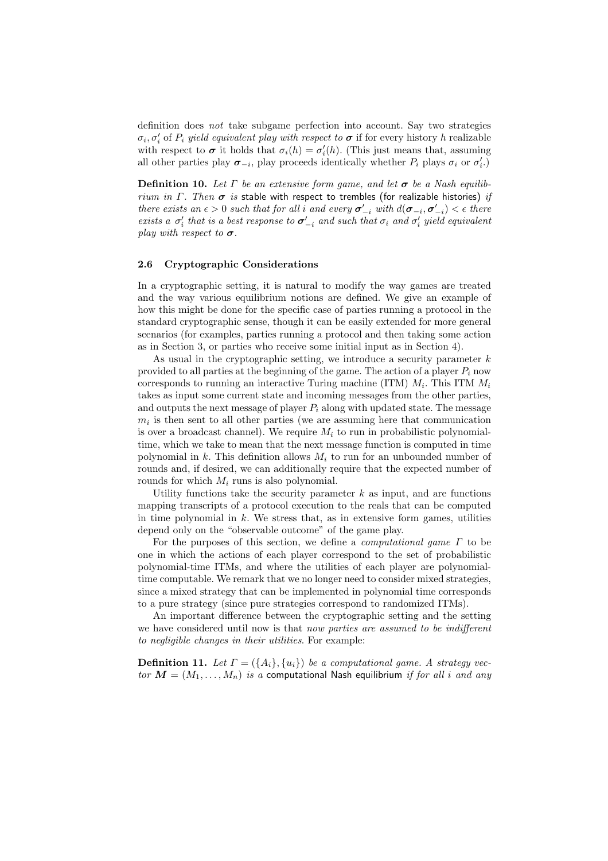definition does not take subgame perfection into account. Say two strategies  $\sigma_i, \sigma'_i$  of  $P_i$  yield equivalent play with respect to  $\sigma$  if for every history h realizable with respect to  $\sigma$  it holds that  $\sigma_i(h) = \sigma'_i(h)$ . (This just means that, assuming all other parties play  $\sigma_{-i}$ , play proceeds identically whether  $P_i$  plays  $\sigma_i$  or  $\sigma'_i$ .)

**Definition 10.** Let  $\Gamma$  be an extensive form game, and let  $\sigma$  be a Nash equilibrium in Γ. Then  $\sigma$  is stable with respect to trembles (for realizable histories) if there exists an  $\epsilon > 0$  such that for all i and every  $\sigma'_{-i}$  with  $d(\sigma_{-i}, \sigma'_{-i}) < \epsilon$  there exists a  $\sigma'_i$  that is a best response to  $\sigma'_{-i}$  and such that  $\sigma_i$  and  $\sigma'_i$  yield equivalent play with respect to  $\sigma$ .

## 2.6 Cryptographic Considerations

In a cryptographic setting, it is natural to modify the way games are treated and the way various equilibrium notions are defined. We give an example of how this might be done for the specific case of parties running a protocol in the standard cryptographic sense, though it can be easily extended for more general scenarios (for examples, parties running a protocol and then taking some action as in Section 3, or parties who receive some initial input as in Section 4).

As usual in the cryptographic setting, we introduce a security parameter  $k$ provided to all parties at the beginning of the game. The action of a player  $P_i$  now corresponds to running an interactive Turing machine (ITM)  $M_i$ . This ITM  $M_i$ takes as input some current state and incoming messages from the other parties, and outputs the next message of player  $P_i$  along with updated state. The message  $m_i$  is then sent to all other parties (we are assuming here that communication is over a broadcast channel). We require  $M_i$  to run in probabilistic polynomialtime, which we take to mean that the next message function is computed in time polynomial in k. This definition allows  $M_i$  to run for an unbounded number of rounds and, if desired, we can additionally require that the expected number of rounds for which  $M_i$  runs is also polynomial.

Utility functions take the security parameter  $k$  as input, and are functions mapping transcripts of a protocol execution to the reals that can be computed in time polynomial in  $k$ . We stress that, as in extensive form games, utilities depend only on the "observable outcome" of the game play.

For the purposes of this section, we define a *computational game*  $\Gamma$  to be one in which the actions of each player correspond to the set of probabilistic polynomial-time ITMs, and where the utilities of each player are polynomialtime computable. We remark that we no longer need to consider mixed strategies, since a mixed strategy that can be implemented in polynomial time corresponds to a pure strategy (since pure strategies correspond to randomized ITMs).

An important difference between the cryptographic setting and the setting we have considered until now is that *now parties are assumed to be indifferent* to negligible changes in their utilities. For example:

**Definition 11.** Let  $\Gamma = (\{A_i\}, \{u_i\})$  be a computational game. A strategy vector  $M = (M_1, \ldots, M_n)$  is a computational Nash equilibrium if for all i and any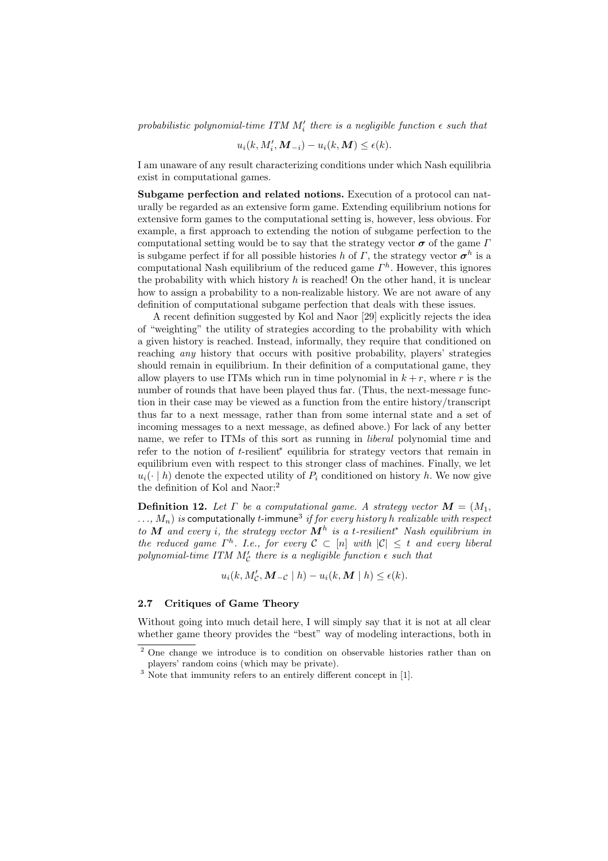probabilistic polynomial-time ITM  $M_i'$  there is a negligible function  $\epsilon$  such that

$$
u_i(k, M'_i, \mathbf{M}_{-i}) - u_i(k, \mathbf{M}) \le \epsilon(k).
$$

I am unaware of any result characterizing conditions under which Nash equilibria exist in computational games.

Subgame perfection and related notions. Execution of a protocol can naturally be regarded as an extensive form game. Extending equilibrium notions for extensive form games to the computational setting is, however, less obvious. For example, a first approach to extending the notion of subgame perfection to the computational setting would be to say that the strategy vector  $\sigma$  of the game  $\Gamma$ is subgame perfect if for all possible histories h of  $\Gamma$ , the strategy vector  $\sigma^h$  is a computational Nash equilibrium of the reduced game  $\Gamma^h$ . However, this ignores the probability with which history  $h$  is reached! On the other hand, it is unclear how to assign a probability to a non-realizable history. We are not aware of any definition of computational subgame perfection that deals with these issues.

A recent definition suggested by Kol and Naor [29] explicitly rejects the idea of "weighting" the utility of strategies according to the probability with which a given history is reached. Instead, informally, they require that conditioned on reaching any history that occurs with positive probability, players' strategies should remain in equilibrium. In their definition of a computational game, they allow players to use ITMs which run in time polynomial in  $k + r$ , where r is the number of rounds that have been played thus far. (Thus, the next-message function in their case may be viewed as a function from the entire history/transcript thus far to a next message, rather than from some internal state and a set of incoming messages to a next message, as defined above.) For lack of any better name, we refer to ITMs of this sort as running in *liberal* polynomial time and refer to the notion of *t*-resilient<sup>\*</sup> equilibria for strategy vectors that remain in equilibrium even with respect to this stronger class of machines. Finally, we let  $u_i(\cdot | h)$  denote the expected utility of  $P_i$  conditioned on history h. We now give the definition of Kol and Naor:<sup>2</sup>

**Definition 12.** Let  $\Gamma$  be a computational game. A strategy vector  $\mathbf{M} = (M_1, M_2)$  $\dots$ ,  $M_n)$  is computationally t-immune<sup>3</sup> if for every history h realizable with respect to M and every i, the strategy vector  $M^h$  is a t-resilient<sup>\*</sup> Nash equilibrium in the reduced game  $\Gamma^h$ . I.e., for every  $\mathcal{C} \subset [n]$  with  $|\mathcal{C}| \leq t$  and every liberal polynomial-time ITM  $M'_{\mathcal{C}}$  there is a negligible function  $\epsilon$  such that

 $u_i(k, M'_{\mathcal{C}}, \mathbf{M}_{-\mathcal{C}} \mid h) - u_i(k, \mathbf{M} \mid h) \leq \epsilon(k).$ 

## 2.7 Critiques of Game Theory

Without going into much detail here, I will simply say that it is not at all clear whether game theory provides the "best" way of modeling interactions, both in

<sup>&</sup>lt;sup>2</sup> One change we introduce is to condition on observable histories rather than on players' random coins (which may be private).

<sup>&</sup>lt;sup>3</sup> Note that immunity refers to an entirely different concept in [1].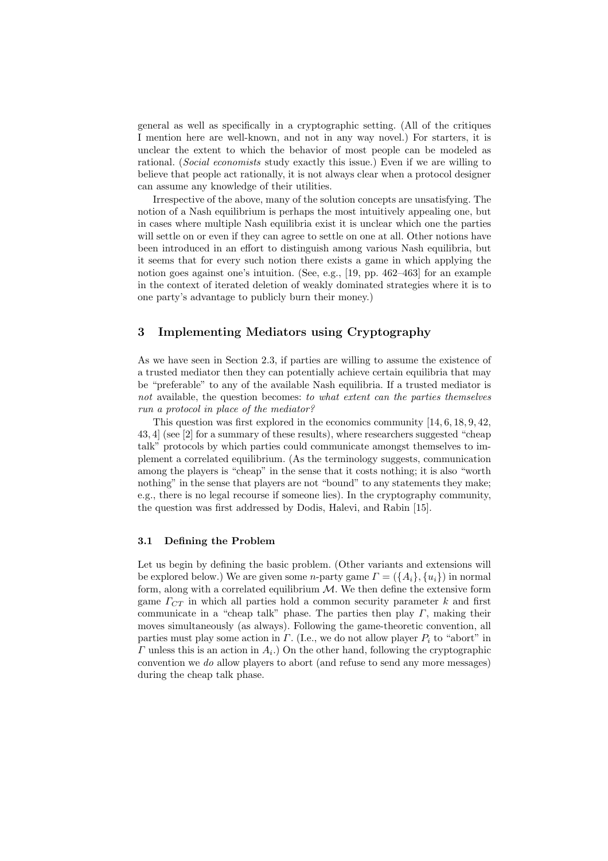general as well as specifically in a cryptographic setting. (All of the critiques I mention here are well-known, and not in any way novel.) For starters, it is unclear the extent to which the behavior of most people can be modeled as rational. (Social economists study exactly this issue.) Even if we are willing to believe that people act rationally, it is not always clear when a protocol designer can assume any knowledge of their utilities.

Irrespective of the above, many of the solution concepts are unsatisfying. The notion of a Nash equilibrium is perhaps the most intuitively appealing one, but in cases where multiple Nash equilibria exist it is unclear which one the parties will settle on or even if they can agree to settle on one at all. Other notions have been introduced in an effort to distinguish among various Nash equilibria, but it seems that for every such notion there exists a game in which applying the notion goes against one's intuition. (See, e.g., [19, pp. 462–463] for an example in the context of iterated deletion of weakly dominated strategies where it is to one party's advantage to publicly burn their money.)

## 3 Implementing Mediators using Cryptography

As we have seen in Section 2.3, if parties are willing to assume the existence of a trusted mediator then they can potentially achieve certain equilibria that may be "preferable" to any of the available Nash equilibria. If a trusted mediator is not available, the question becomes: to what extent can the parties themselves run a protocol in place of the mediator?

This question was first explored in the economics community [14, 6, 18, 9, 42, 43, 4] (see [2] for a summary of these results), where researchers suggested "cheap talk" protocols by which parties could communicate amongst themselves to implement a correlated equilibrium. (As the terminology suggests, communication among the players is "cheap" in the sense that it costs nothing; it is also "worth nothing" in the sense that players are not "bound" to any statements they make; e.g., there is no legal recourse if someone lies). In the cryptography community, the question was first addressed by Dodis, Halevi, and Rabin [15].

#### 3.1 Defining the Problem

Let us begin by defining the basic problem. (Other variants and extensions will be explored below.) We are given some *n*-party game  $\Gamma = (\{A_i\}, \{u_i\})$  in normal form, along with a correlated equilibrium  $M$ . We then define the extensive form game  $\Gamma_{CT}$  in which all parties hold a common security parameter k and first communicate in a "cheap talk" phase. The parties then play  $\Gamma$ , making their moves simultaneously (as always). Following the game-theoretic convention, all parties must play some action in  $\Gamma$ . (I.e., we do not allow player  $P_i$  to "abort" in  $\Gamma$  unless this is an action in  $A_i$ .) On the other hand, following the cryptographic convention we do allow players to abort (and refuse to send any more messages) during the cheap talk phase.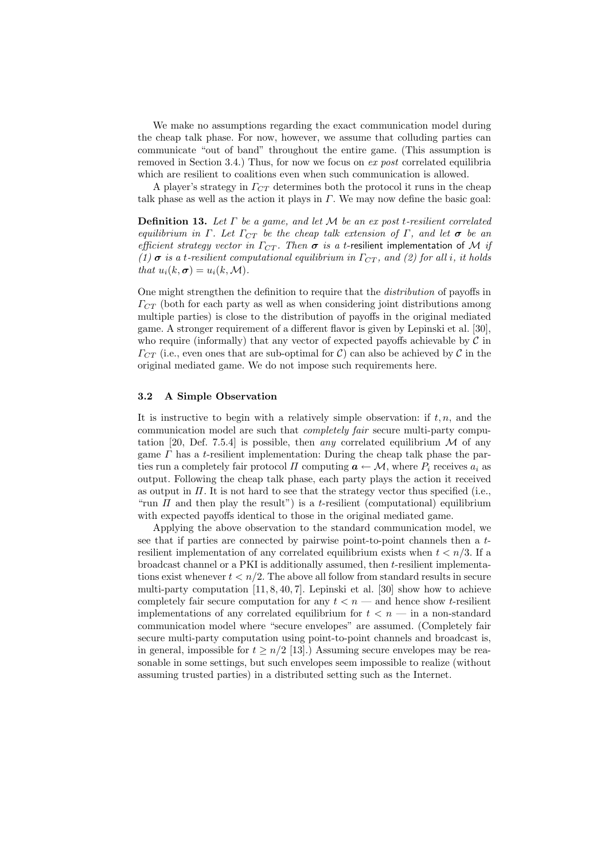We make no assumptions regarding the exact communication model during the cheap talk phase. For now, however, we assume that colluding parties can communicate "out of band" throughout the entire game. (This assumption is removed in Section 3.4.) Thus, for now we focus on ex post correlated equilibria which are resilient to coalitions even when such communication is allowed.

A player's strategy in  $\Gamma_{CT}$  determines both the protocol it runs in the cheap talk phase as well as the action it plays in  $\Gamma$ . We may now define the basic goal:

**Definition 13.** Let  $\Gamma$  be a game, and let  $\mathcal M$  be an expost t-resilient correlated equilibrium in Γ. Let  $\Gamma_{CT}$  be the cheap talk extension of Γ, and let  $\sigma$  be an efficient strategy vector in  $\Gamma_{CT}$ . Then  $\sigma$  is a t-resilient implementation of M if (1)  $\sigma$  is a t-resilient computational equilibrium in  $\Gamma_{CT}$ , and (2) for all i, it holds that  $u_i(k, \sigma) = u_i(k, \mathcal{M}).$ 

One might strengthen the definition to require that the distribution of payoffs in  $\Gamma_{CT}$  (both for each party as well as when considering joint distributions among multiple parties) is close to the distribution of payoffs in the original mediated game. A stronger requirement of a different flavor is given by Lepinski et al. [30], who require (informally) that any vector of expected payoffs achievable by  $\mathcal C$  in  $\Gamma_{CT}$  (i.e., even ones that are sub-optimal for C) can also be achieved by C in the original mediated game. We do not impose such requirements here.

## 3.2 A Simple Observation

It is instructive to begin with a relatively simple observation: if  $t, n$ , and the communication model are such that completely fair secure multi-party computation [20, Def. 7.5.4] is possible, then *any* correlated equilibrium  $\mathcal M$  of any game  $\Gamma$  has a t-resilient implementation: During the cheap talk phase the parties run a completely fair protocol  $\Pi$  computing  $a \leftarrow M$ , where  $P_i$  receives  $a_i$  as output. Following the cheap talk phase, each party plays the action it received as output in  $\Pi$ . It is not hard to see that the strategy vector thus specified (i.e., "run  $\Pi$  and then play the result") is a t-resilient (computational) equilibrium with expected payoffs identical to those in the original mediated game.

Applying the above observation to the standard communication model, we see that if parties are connected by pairwise point-to-point channels then a tresilient implementation of any correlated equilibrium exists when  $t < n/3$ . If a broadcast channel or a PKI is additionally assumed, then t-resilient implementations exist whenever  $t < n/2$ . The above all follow from standard results in secure multi-party computation [11, 8, 40, 7]. Lepinski et al. [30] show how to achieve completely fair secure computation for any  $t < n$  — and hence show t-resilient implementations of any correlated equilibrium for  $t < n -$  in a non-standard communication model where "secure envelopes" are assumed. (Completely fair secure multi-party computation using point-to-point channels and broadcast is, in general, impossible for  $t \geq n/2$  [13].) Assuming secure envelopes may be reasonable in some settings, but such envelopes seem impossible to realize (without assuming trusted parties) in a distributed setting such as the Internet.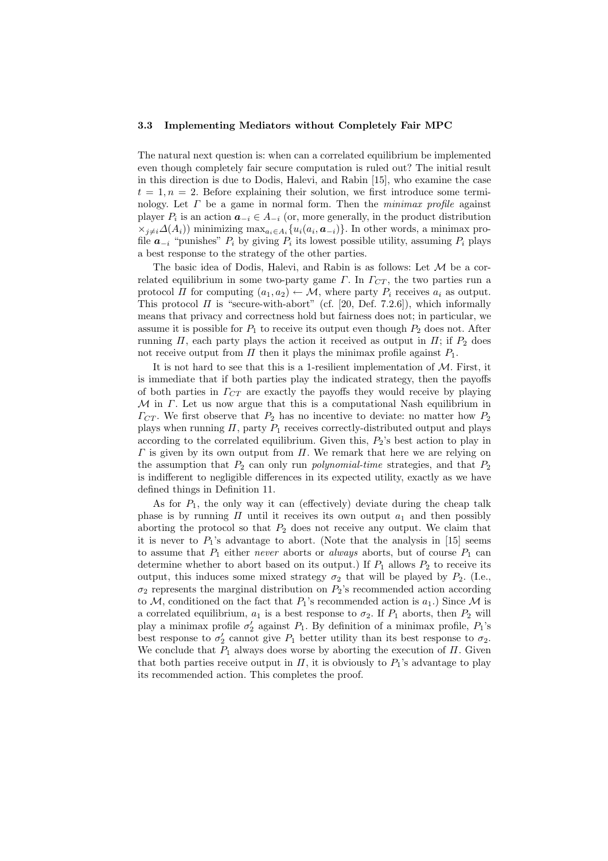#### 3.3 Implementing Mediators without Completely Fair MPC

The natural next question is: when can a correlated equilibrium be implemented even though completely fair secure computation is ruled out? The initial result in this direction is due to Dodis, Halevi, and Rabin [15], who examine the case  $t = 1, n = 2$ . Before explaining their solution, we first introduce some terminology. Let  $\Gamma$  be a game in normal form. Then the *minimax profile* against player  $P_i$  is an action  $a_{-i} \in A_{-i}$  (or, more generally, in the product distribution  $(\times_{j\neq i}\Delta(A_i))$  minimizing max $_{a_i\in A_i}\{u_i(a_i,a_{-i})\}$ . In other words, a minimax profile  $a_{-i}$  "punishes"  $P_i$  by giving  $P_i$  its lowest possible utility, assuming  $P_i$  plays a best response to the strategy of the other parties.

The basic idea of Dodis, Halevi, and Rabin is as follows: Let M be a correlated equilibrium in some two-party game  $\Gamma$ . In  $\Gamma_{CT}$ , the two parties run a protocol  $\Pi$  for computing  $(a_1, a_2) \leftarrow M$ , where party  $P_i$  receives  $a_i$  as output. This protocol  $\Pi$  is "secure-with-abort" (cf. [20, Def. 7.2.6]), which informally means that privacy and correctness hold but fairness does not; in particular, we assume it is possible for  $P_1$  to receive its output even though  $P_2$  does not. After running  $\Pi$ , each party plays the action it received as output in  $\Pi$ ; if  $P_2$  does not receive output from  $\Pi$  then it plays the minimax profile against  $P_1$ .

It is not hard to see that this is a 1-resilient implementation of  $M$ . First, it is immediate that if both parties play the indicated strategy, then the payoffs of both parties in  $\Gamma_{CT}$  are exactly the payoffs they would receive by playing  $M$  in  $\Gamma$ . Let us now argue that this is a computational Nash equilibrium in  $\Gamma_{CT}$ . We first observe that  $P_2$  has no incentive to deviate: no matter how  $P_2$ plays when running  $\Pi$ , party  $P_1$  receives correctly-distributed output and plays according to the correlated equilibrium. Given this,  $P_2$ 's best action to play in  $\Gamma$  is given by its own output from  $\Pi$ . We remark that here we are relying on the assumption that  $P_2$  can only run *polynomial-time* strategies, and that  $P_2$ is indifferent to negligible differences in its expected utility, exactly as we have defined things in Definition 11.

As for  $P_1$ , the only way it can (effectively) deviate during the cheap talk phase is by running  $\Pi$  until it receives its own output  $a_1$  and then possibly aborting the protocol so that  $P_2$  does not receive any output. We claim that it is never to  $P_1$ 's advantage to abort. (Note that the analysis in [15] seems to assume that  $P_1$  either never aborts or always aborts, but of course  $P_1$  can determine whether to abort based on its output.) If  $P_1$  allows  $P_2$  to receive its output, this induces some mixed strategy  $\sigma_2$  that will be played by  $P_2$ . (I.e.,  $\sigma_2$  represents the marginal distribution on  $P_2$ 's recommended action according to  $M$ , conditioned on the fact that  $P_1$ 's recommended action is  $a_1$ .) Since  $M$  is a correlated equilibrium,  $a_1$  is a best response to  $\sigma_2$ . If  $P_1$  aborts, then  $P_2$  will play a minimax profile  $\sigma'_2$  against  $P_1$ . By definition of a minimax profile,  $P_1$ 's best response to  $\sigma'_2$  cannot give  $P_1$  better utility than its best response to  $\sigma_2$ . We conclude that  $P_1$  always does worse by aborting the execution of  $\Pi$ . Given that both parties receive output in  $\Pi$ , it is obviously to  $P_1$ 's advantage to play its recommended action. This completes the proof.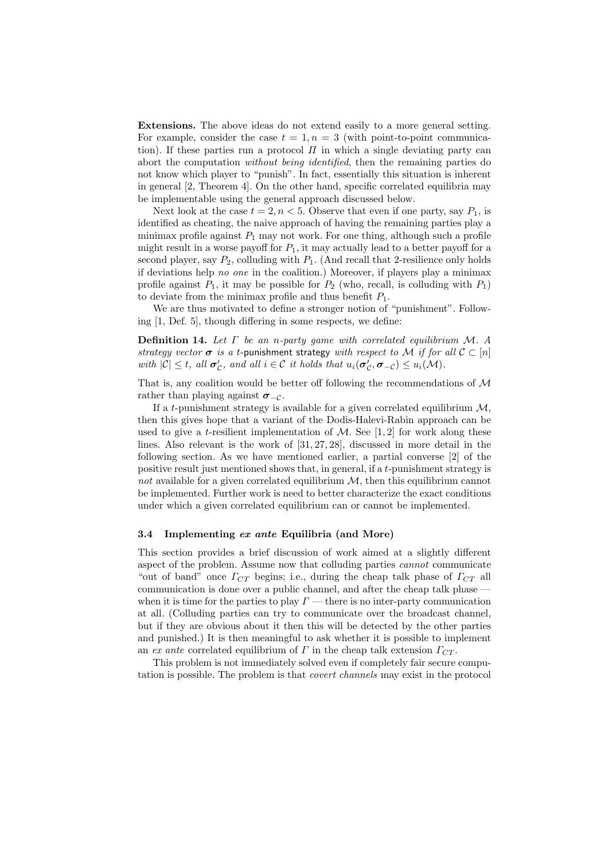Extensions. The above ideas do not extend easily to a more general setting. For example, consider the case  $t = 1, n = 3$  (with point-to-point communication). If these parties run a protocol  $\Pi$  in which a single deviating party can abort the computation without being identified, then the remaining parties do not know which player to "punish". In fact, essentially this situation is inherent in general [2, Theorem 4]. On the other hand, specific correlated equilibria may be implementable using the general approach discussed below.

Next look at the case  $t = 2, n < 5$ . Observe that even if one party, say  $P_1$ , is identified as cheating, the naive approach of having the remaining parties play a minimax profile against  $P_1$  may not work. For one thing, although such a profile might result in a worse payoff for  $P_1$ , it may actually lead to a better payoff for a second player, say  $P_2$ , colluding with  $P_1$ . (And recall that 2-resilience only holds if deviations help no one in the coalition.) Moreover, if players play a minimax profile against  $P_1$ , it may be possible for  $P_2$  (who, recall, is colluding with  $P_1$ ) to deviate from the minimax profile and thus benefit  $P_1$ .

We are thus motivated to define a stronger notion of "punishment". Following [1, Def. 5], though differing in some respects, we define:

**Definition 14.** Let  $\Gamma$  be an n-party game with correlated equilibrium M. A strategy vector  $\sigma$  is a t-punishment strategy with respect to M if for all  $C \subset [n]$ with  $|\mathcal{C}| \leq t$ , all  $\sigma'_{\mathcal{C}}$ , and all  $i \in \mathcal{C}$  it holds that  $u_i(\sigma'_{\mathcal{C}}, \sigma_{-\mathcal{C}}) \leq u_i(\mathcal{M})$ .

That is, any coalition would be better off following the recommendations of  $\mathcal M$ rather than playing against  $\sigma_{-\mathcal{C}}$ .

If a t-punishment strategy is available for a given correlated equilibrium  $M$ , then this gives hope that a variant of the Dodis-Halevi-Rabin approach can be used to give a t-resilient implementation of  $\mathcal{M}$ . See [1, 2] for work along these lines. Also relevant is the work of [31, 27, 28], discussed in more detail in the following section. As we have mentioned earlier, a partial converse [2] of the positive result just mentioned shows that, in general, if a t-punishment strategy is not available for a given correlated equilibrium  $\mathcal{M}$ , then this equilibrium cannot be implemented. Further work is need to better characterize the exact conditions under which a given correlated equilibrium can or cannot be implemented.

#### 3.4 Implementing ex ante Equilibria (and More)

This section provides a brief discussion of work aimed at a slightly different aspect of the problem. Assume now that colluding parties cannot communicate "out of band" once  $\Gamma_{CT}$  begins; i.e., during the cheap talk phase of  $\Gamma_{CT}$  all communication is done over a public channel, and after the cheap talk phase when it is time for the parties to play  $\Gamma$  — there is no inter-party communication at all. (Colluding parties can try to communicate over the broadcast channel, but if they are obvious about it then this will be detected by the other parties and punished.) It is then meaningful to ask whether it is possible to implement an ex ante correlated equilibrium of  $\Gamma$  in the cheap talk extension  $\Gamma_{CT}$ .

This problem is not immediately solved even if completely fair secure computation is possible. The problem is that covert channels may exist in the protocol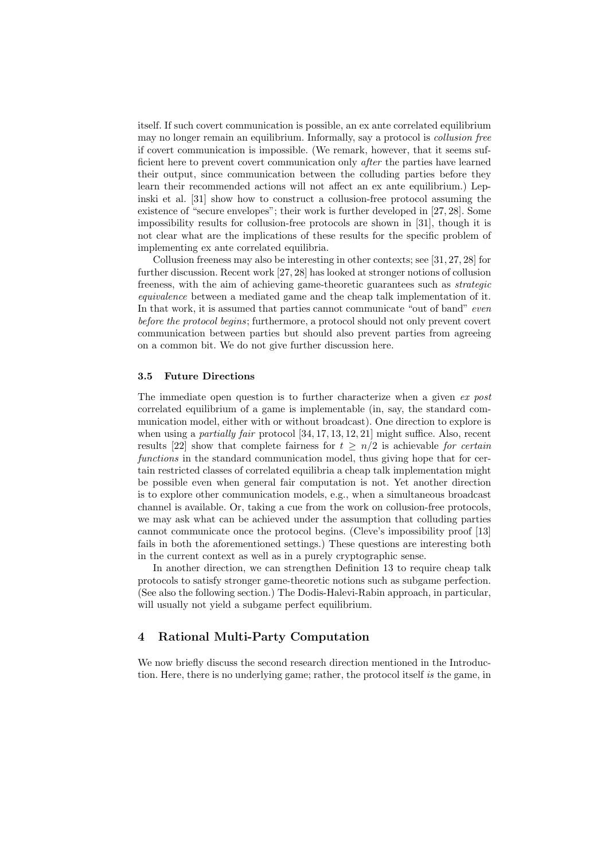itself. If such covert communication is possible, an ex ante correlated equilibrium may no longer remain an equilibrium. Informally, say a protocol is collusion free if covert communication is impossible. (We remark, however, that it seems sufficient here to prevent covert communication only after the parties have learned their output, since communication between the colluding parties before they learn their recommended actions will not affect an ex ante equilibrium.) Lepinski et al. [31] show how to construct a collusion-free protocol assuming the existence of "secure envelopes"; their work is further developed in [27, 28]. Some impossibility results for collusion-free protocols are shown in [31], though it is not clear what are the implications of these results for the specific problem of implementing ex ante correlated equilibria.

Collusion freeness may also be interesting in other contexts; see [31, 27, 28] for further discussion. Recent work [27, 28] has looked at stronger notions of collusion freeness, with the aim of achieving game-theoretic guarantees such as strategic equivalence between a mediated game and the cheap talk implementation of it. In that work, it is assumed that parties cannot communicate "out of band" even before the protocol begins; furthermore, a protocol should not only prevent covert communication between parties but should also prevent parties from agreeing on a common bit. We do not give further discussion here.

### 3.5 Future Directions

The immediate open question is to further characterize when a given ex post correlated equilibrium of a game is implementable (in, say, the standard communication model, either with or without broadcast). One direction to explore is when using a *partially fair* protocol [34, 17, 13, 12, 21] might suffice. Also, recent results [22] show that complete fairness for  $t \geq n/2$  is achievable for certain functions in the standard communication model, thus giving hope that for certain restricted classes of correlated equilibria a cheap talk implementation might be possible even when general fair computation is not. Yet another direction is to explore other communication models, e.g., when a simultaneous broadcast channel is available. Or, taking a cue from the work on collusion-free protocols, we may ask what can be achieved under the assumption that colluding parties cannot communicate once the protocol begins. (Cleve's impossibility proof [13] fails in both the aforementioned settings.) These questions are interesting both in the current context as well as in a purely cryptographic sense.

In another direction, we can strengthen Definition 13 to require cheap talk protocols to satisfy stronger game-theoretic notions such as subgame perfection. (See also the following section.) The Dodis-Halevi-Rabin approach, in particular, will usually not yield a subgame perfect equilibrium.

## 4 Rational Multi-Party Computation

We now briefly discuss the second research direction mentioned in the Introduction. Here, there is no underlying game; rather, the protocol itself is the game, in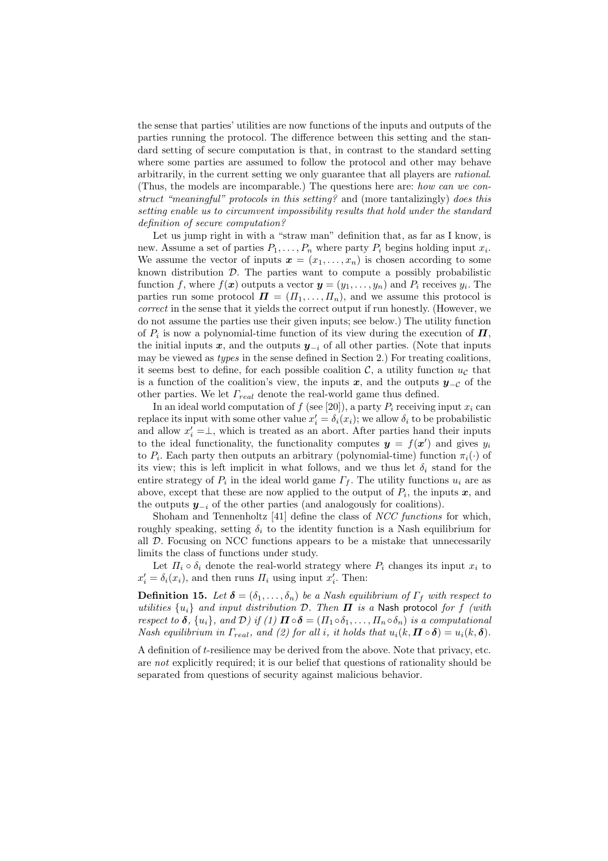the sense that parties' utilities are now functions of the inputs and outputs of the parties running the protocol. The difference between this setting and the standard setting of secure computation is that, in contrast to the standard setting where some parties are assumed to follow the protocol and other may behave arbitrarily, in the current setting we only guarantee that all players are rational. (Thus, the models are incomparable.) The questions here are: how can we construct "meaningful" protocols in this setting? and (more tantalizingly) does this setting enable us to circumvent impossibility results that hold under the standard definition of secure computation?

Let us jump right in with a "straw man" definition that, as far as I know, is new. Assume a set of parties  $P_1, \ldots, P_n$  where party  $P_i$  begins holding input  $x_i$ . We assume the vector of inputs  $\mathbf{x} = (x_1, \ldots, x_n)$  is chosen according to some known distribution  $\mathcal{D}$ . The parties want to compute a possibly probabilistic function f, where  $f(\boldsymbol{x})$  outputs a vector  $\boldsymbol{y} = (y_1, \ldots, y_n)$  and  $P_i$  receives  $y_i$ . The parties run some protocol  $\mathbf{\Pi} = (\Pi_1, \dots, \Pi_n)$ , and we assume this protocol is correct in the sense that it yields the correct output if run honestly. (However, we do not assume the parties use their given inputs; see below.) The utility function of  $P_i$  is now a polynomial-time function of its view during the execution of  $\boldsymbol{\Pi}$ , the initial inputs  $x$ , and the outputs  $y_{-i}$  of all other parties. (Note that inputs may be viewed as types in the sense defined in Section 2.) For treating coalitions, it seems best to define, for each possible coalition  $\mathcal{C}$ , a utility function  $u_{\mathcal{C}}$  that is a function of the coalition's view, the inputs  $x$ , and the outputs  $y_{-\mathcal{C}}$  of the other parties. We let  $\Gamma_{real}$  denote the real-world game thus defined.

In an ideal world computation of f (see [20]), a party  $P_i$  receiving input  $x_i$  can replace its input with some other value  $x_i' = \delta_i(x_i)$ ; we allow  $\delta_i$  to be probabilistic and allow  $x'_i = \perp$ , which is treated as an abort. After parties hand their inputs to the ideal functionality, the functionality computes  $y = f(x')$  and gives  $y_i$ to  $P_i$ . Each party then outputs an arbitrary (polynomial-time) function  $\pi_i(\cdot)$  of its view; this is left implicit in what follows, and we thus let  $\delta_i$  stand for the entire strategy of  $P_i$  in the ideal world game  $\Gamma_f$ . The utility functions  $u_i$  are as above, except that these are now applied to the output of  $P_i$ , the inputs  $x$ , and the outputs  $y_{-i}$  of the other parties (and analogously for coalitions).

Shoham and Tennenholtz [41] define the class of NCC functions for which, roughly speaking, setting  $\delta_i$  to the identity function is a Nash equilibrium for all  $D$ . Focusing on NCC functions appears to be a mistake that unnecessarily limits the class of functions under study.

Let  $\Pi_i \circ \delta_i$  denote the real-world strategy where  $P_i$  changes its input  $x_i$  to  $x_i' = \delta_i(x_i)$ , and then runs  $\Pi_i$  using input  $x_i'$ . Then:

**Definition 15.** Let  $\boldsymbol{\delta} = (\delta_1, \ldots, \delta_n)$  be a Nash equilibrium of  $\Gamma_f$  with respect to utilities  $\{u_i\}$  and input distribution D. Then  $\Pi$  is a Nash protocol for f (with respect to  $\delta$ ,  $\{u_i\}$ , and  $\mathcal{D}$ ) if (1)  $\Pi \circ \delta = (\Pi_1 \circ \delta_1, \ldots, \Pi_n \circ \delta_n)$  is a computational Nash equilibrium in  $\Gamma_{real}$ , and (2) for all i, it holds that  $u_i(k, \Pi \circ \delta) = u_i(k, \delta)$ .

A definition of t-resilience may be derived from the above. Note that privacy, etc. are not explicitly required; it is our belief that questions of rationality should be separated from questions of security against malicious behavior.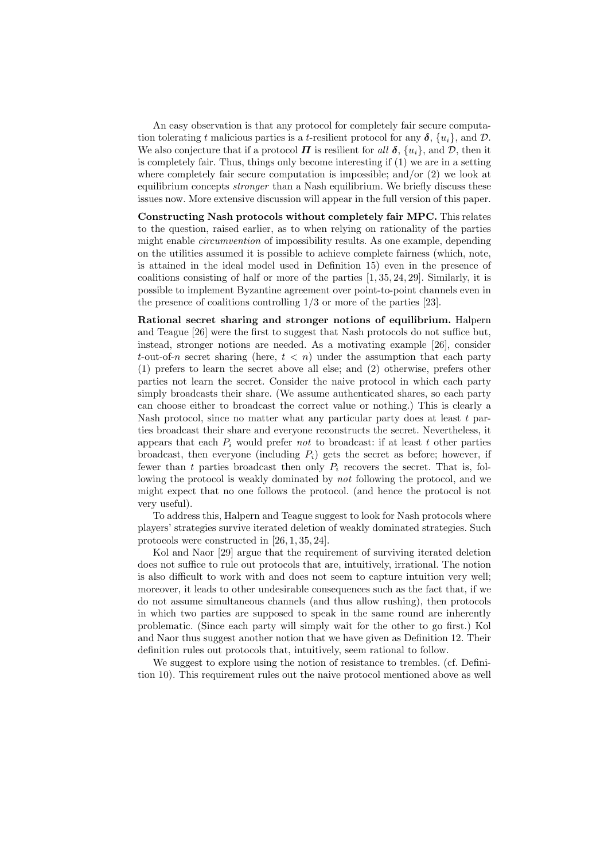An easy observation is that any protocol for completely fair secure computation tolerating t malicious parties is a t-resilient protocol for any  $\delta$ ,  $\{u_i\}$ , and  $\mathcal{D}$ . We also conjecture that if a protocol  $\Pi$  is resilient for all  $\delta$ ,  $\{u_i\}$ , and  $\mathcal{D}$ , then it is completely fair. Thus, things only become interesting if (1) we are in a setting where completely fair secure computation is impossible; and/or  $(2)$  we look at equilibrium concepts *stronger* than a Nash equilibrium. We briefly discuss these issues now. More extensive discussion will appear in the full version of this paper.

Constructing Nash protocols without completely fair MPC. This relates to the question, raised earlier, as to when relying on rationality of the parties might enable *circumvention* of impossibility results. As one example, depending on the utilities assumed it is possible to achieve complete fairness (which, note, is attained in the ideal model used in Definition 15) even in the presence of coalitions consisting of half or more of the parties [1, 35, 24, 29]. Similarly, it is possible to implement Byzantine agreement over point-to-point channels even in the presence of coalitions controlling  $1/3$  or more of the parties [23].

Rational secret sharing and stronger notions of equilibrium. Halpern and Teague [26] were the first to suggest that Nash protocols do not suffice but, instead, stronger notions are needed. As a motivating example [26], consider t-out-of-n secret sharing (here,  $t < n$ ) under the assumption that each party (1) prefers to learn the secret above all else; and (2) otherwise, prefers other parties not learn the secret. Consider the naive protocol in which each party simply broadcasts their share. (We assume authenticated shares, so each party can choose either to broadcast the correct value or nothing.) This is clearly a Nash protocol, since no matter what any particular party does at least  $t$  parties broadcast their share and everyone reconstructs the secret. Nevertheless, it appears that each  $P_i$  would prefer not to broadcast: if at least t other parties broadcast, then everyone (including  $P_i$ ) gets the secret as before; however, if fewer than t parties broadcast then only  $P_i$  recovers the secret. That is, following the protocol is weakly dominated by not following the protocol, and we might expect that no one follows the protocol. (and hence the protocol is not very useful).

To address this, Halpern and Teague suggest to look for Nash protocols where players' strategies survive iterated deletion of weakly dominated strategies. Such protocols were constructed in [26, 1, 35, 24].

Kol and Naor [29] argue that the requirement of surviving iterated deletion does not suffice to rule out protocols that are, intuitively, irrational. The notion is also difficult to work with and does not seem to capture intuition very well; moreover, it leads to other undesirable consequences such as the fact that, if we do not assume simultaneous channels (and thus allow rushing), then protocols in which two parties are supposed to speak in the same round are inherently problematic. (Since each party will simply wait for the other to go first.) Kol and Naor thus suggest another notion that we have given as Definition 12. Their definition rules out protocols that, intuitively, seem rational to follow.

We suggest to explore using the notion of resistance to trembles. (cf. Definition 10). This requirement rules out the naive protocol mentioned above as well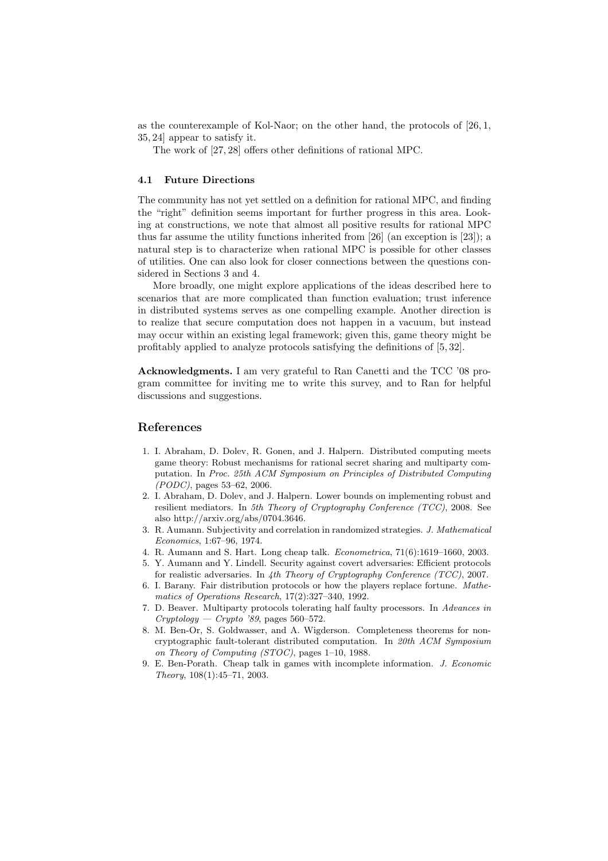as the counterexample of Kol-Naor; on the other hand, the protocols of [26, 1, 35, 24] appear to satisfy it.

The work of [27, 28] offers other definitions of rational MPC.

#### 4.1 Future Directions

The community has not yet settled on a definition for rational MPC, and finding the "right" definition seems important for further progress in this area. Looking at constructions, we note that almost all positive results for rational MPC thus far assume the utility functions inherited from [26] (an exception is [23]); a natural step is to characterize when rational MPC is possible for other classes of utilities. One can also look for closer connections between the questions considered in Sections 3 and 4.

More broadly, one might explore applications of the ideas described here to scenarios that are more complicated than function evaluation; trust inference in distributed systems serves as one compelling example. Another direction is to realize that secure computation does not happen in a vacuum, but instead may occur within an existing legal framework; given this, game theory might be profitably applied to analyze protocols satisfying the definitions of [5, 32].

Acknowledgments. I am very grateful to Ran Canetti and the TCC '08 program committee for inviting me to write this survey, and to Ran for helpful discussions and suggestions.

### References

- 1. I. Abraham, D. Dolev, R. Gonen, and J. Halpern. Distributed computing meets game theory: Robust mechanisms for rational secret sharing and multiparty computation. In Proc. 25th ACM Symposium on Principles of Distributed Computing (PODC), pages 53–62, 2006.
- 2. I. Abraham, D. Dolev, and J. Halpern. Lower bounds on implementing robust and resilient mediators. In 5th Theory of Cryptography Conference (TCC), 2008. See also http://arxiv.org/abs/0704.3646.
- 3. R. Aumann. Subjectivity and correlation in randomized strategies. J. Mathematical Economics, 1:67–96, 1974.
- 4. R. Aumann and S. Hart. Long cheap talk. Econometrica, 71(6):1619–1660, 2003.
- 5. Y. Aumann and Y. Lindell. Security against covert adversaries: Efficient protocols for realistic adversaries. In 4th Theory of Cryptography Conference (TCC), 2007.
- 6. I. Barany. Fair distribution protocols or how the players replace fortune. Mathematics of Operations Research, 17(2):327–340, 1992.
- 7. D. Beaver. Multiparty protocols tolerating half faulty processors. In Advances in  $Cryptography - Crypto'89$ , pages 560–572.
- 8. M. Ben-Or, S. Goldwasser, and A. Wigderson. Completeness theorems for noncryptographic fault-tolerant distributed computation. In 20th ACM Symposium on Theory of Computing (STOC), pages 1–10, 1988.
- 9. E. Ben-Porath. Cheap talk in games with incomplete information. J. Economic Theory, 108(1):45–71, 2003.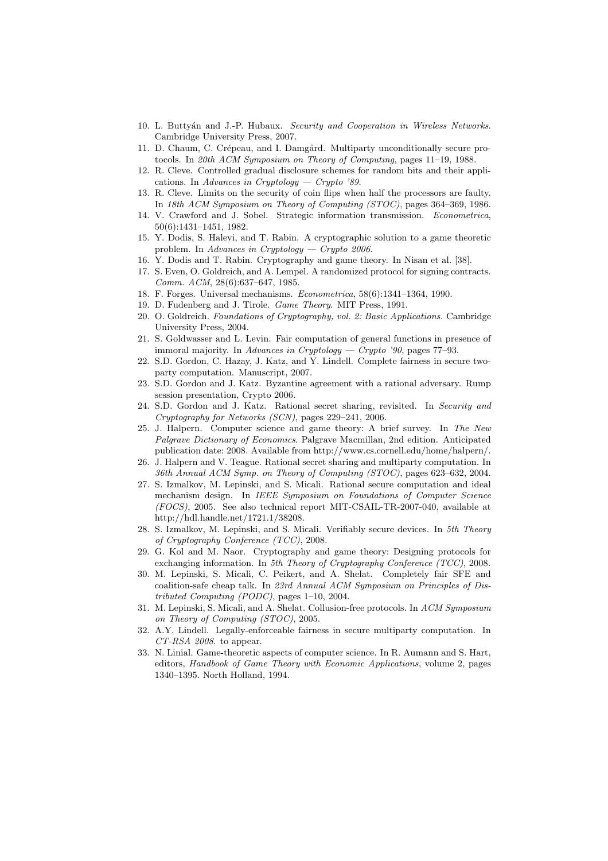- 10. L. Buttyán and J.-P. Hubaux. Security and Cooperation in Wireless Networks. Cambridge University Press, 2007.
- 11. D. Chaum, C. Crépeau, and I. Damgård. Multiparty unconditionally secure protocols. In 20th ACM Symposium on Theory of Computing, pages 11–19, 1988.
- 12. R. Cleve. Controlled gradual disclosure schemes for random bits and their applications. In Advances in Cryptology — Crypto '89.
- 13. R. Cleve. Limits on the security of coin flips when half the processors are faulty. In 18th ACM Symposium on Theory of Computing (STOC), pages 364–369, 1986.
- 14. V. Crawford and J. Sobel. Strategic information transmission. Econometrica, 50(6):1431–1451, 1982.
- 15. Y. Dodis, S. Halevi, and T. Rabin. A cryptographic solution to a game theoretic problem. In Advances in Cryptology — Crypto 2006.
- 16. Y. Dodis and T. Rabin. Cryptography and game theory. In Nisan et al. [38].
- 17. S. Even, O. Goldreich, and A. Lempel. A randomized protocol for signing contracts. Comm. ACM, 28(6):637–647, 1985.
- 18. F. Forges. Universal mechanisms. Econometrica, 58(6):1341–1364, 1990.
- 19. D. Fudenberg and J. Tirole. Game Theory. MIT Press, 1991.
- 20. O. Goldreich. Foundations of Cryptography, vol. 2: Basic Applications. Cambridge University Press, 2004.
- 21. S. Goldwasser and L. Levin. Fair computation of general functions in presence of immoral majority. In Advances in Cryptology — Crypto '90, pages  $77-93$ .
- 22. S.D. Gordon, C. Hazay, J. Katz, and Y. Lindell. Complete fairness in secure twoparty computation. Manuscript, 2007.
- 23. S.D. Gordon and J. Katz. Byzantine agreement with a rational adversary. Rump session presentation, Crypto 2006.
- 24. S.D. Gordon and J. Katz. Rational secret sharing, revisited. In Security and Cryptography for Networks (SCN), pages 229–241, 2006.
- 25. J. Halpern. Computer science and game theory: A brief survey. In The New Palgrave Dictionary of Economics. Palgrave Macmillan, 2nd edition. Anticipated publication date: 2008. Available from http://www.cs.cornell.edu/home/halpern/.
- 26. J. Halpern and V. Teague. Rational secret sharing and multiparty computation. In 36th Annual ACM Symp. on Theory of Computing (STOC), pages 623–632, 2004.
- 27. S. Izmalkov, M. Lepinski, and S. Micali. Rational secure computation and ideal mechanism design. In IEEE Symposium on Foundations of Computer Science (FOCS), 2005. See also technical report MIT-CSAIL-TR-2007-040, available at http://hdl.handle.net/1721.1/38208.
- 28. S. Izmalkov, M. Lepinski, and S. Micali. Verifiably secure devices. In 5th Theory of Cryptography Conference (TCC), 2008.
- 29. G. Kol and M. Naor. Cryptography and game theory: Designing protocols for exchanging information. In 5th Theory of Cryptography Conference (TCC), 2008.
- 30. M. Lepinski, S. Micali, C. Peikert, and A. Shelat. Completely fair SFE and coalition-safe cheap talk. In 23rd Annual ACM Symposium on Principles of Distributed Computing (PODC), pages 1–10, 2004.
- 31. M. Lepinski, S. Micali, and A. Shelat. Collusion-free protocols. In ACM Symposium on Theory of Computing (STOC), 2005.
- 32. A.Y. Lindell. Legally-enforceable fairness in secure multiparty computation. In CT-RSA 2008. to appear.
- 33. N. Linial. Game-theoretic aspects of computer science. In R. Aumann and S. Hart, editors, Handbook of Game Theory with Economic Applications, volume 2, pages 1340–1395. North Holland, 1994.